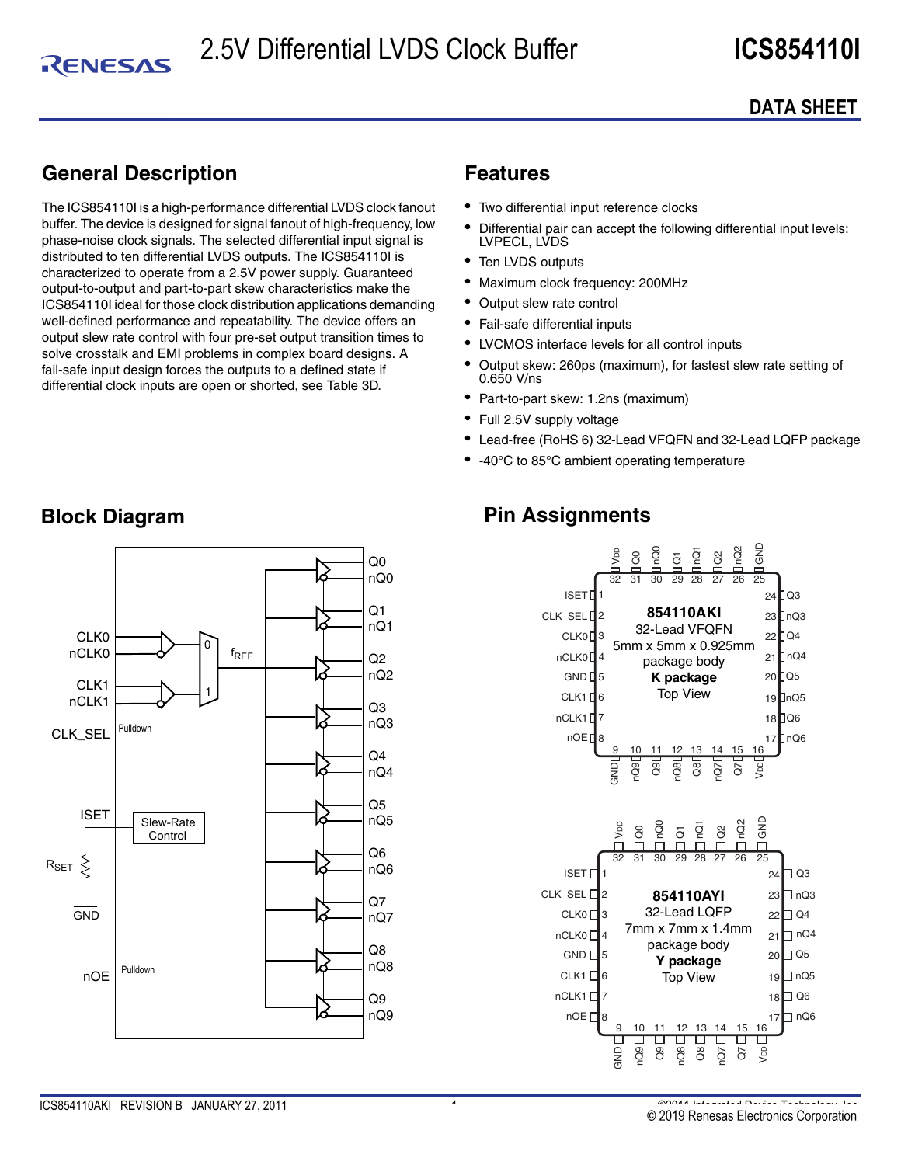Q0

## **DATA SHEET**

# **General Description**

RENESAS

The ICS854110I is a high-performance differential LVDS clock fanout buffer. The device is designed for signal fanout of high-frequency, low phase-noise clock signals. The selected differential input signal is distributed to ten differential LVDS outputs. The ICS854110I is characterized to operate from a 2.5V power supply. Guaranteed output-to-output and part-to-part skew characteristics make the ICS854110I ideal for those clock distribution applications demanding well-defined performance and repeatability. The device offers an output slew rate control with four pre-set output transition times to solve crosstalk and EMI problems in complex board designs. A fail-safe input design forces the outputs to a defined state if differential clock inputs are open or shorted, see Table 3D.

### **Features**

- **•** Two differential input reference clocks
- **•** Differential pair can accept the following differential input levels: LVPECL, LVDS
- **•** Ten LVDS outputs
- **•** Maximum clock frequency: 200MHz
- **•** Output slew rate control
- **•** Fail-safe differential inputs
- **•** LVCMOS interface levels for all control inputs
- **•** Output skew: 260ps (maximum), for fastest slew rate setting of 0.650 V/ns
- **•** Part-to-part skew: 1.2ns (maximum)
- **•** Full 2.5V supply voltage
- **•** Lead-free (RoHS 6) 32-Lead VFQFN and 32-Lead LQFP package
- **•** -40°C to 85°C ambient operating temperature

# **Block Diagram Pin Assignments**



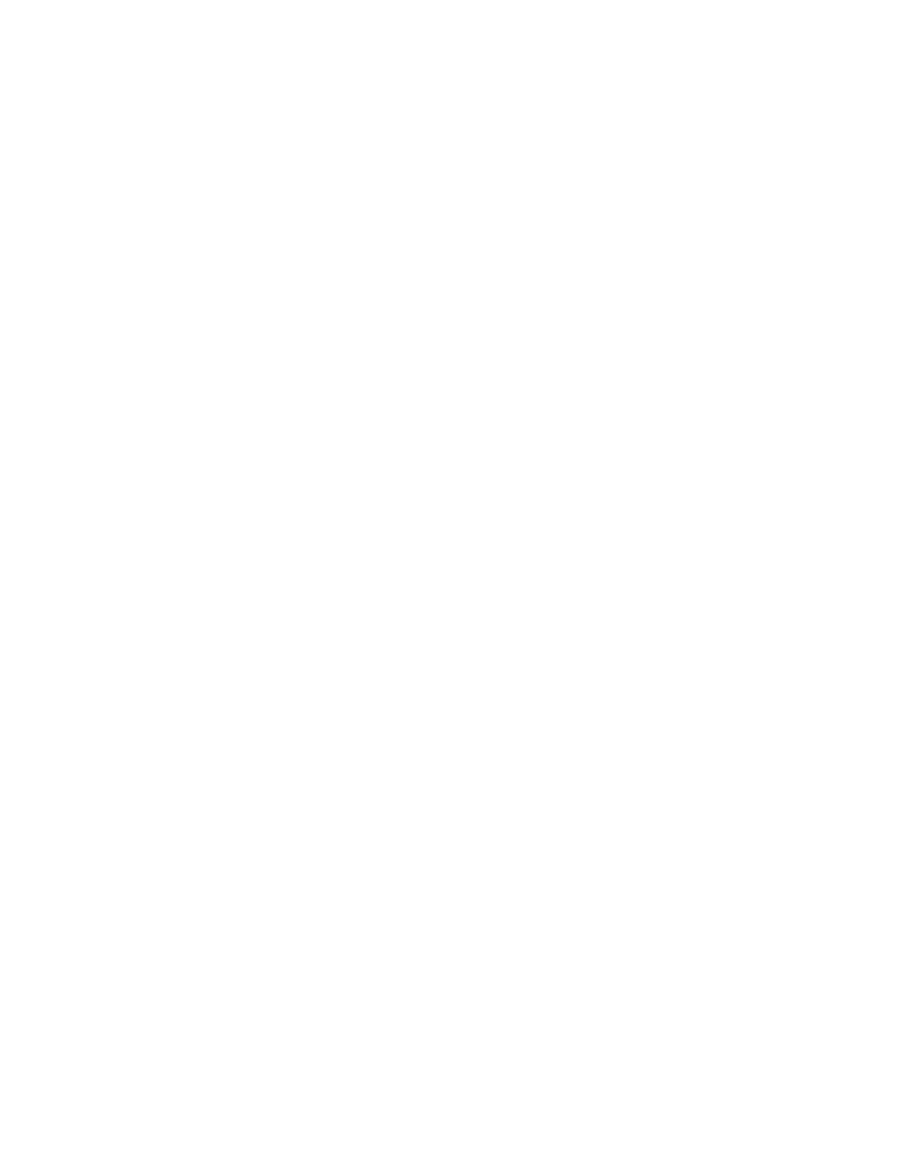# **Table 1. Pin Descriptions**

| <b>Number</b>  | <b>Name</b>      |        | <b>Type</b> | <b>Description</b>                                                                                                                                                                                         |
|----------------|------------------|--------|-------------|------------------------------------------------------------------------------------------------------------------------------------------------------------------------------------------------------------|
| 1              | <b>ISET</b>      |        |             | An external fixed resistor (RSET) from this pin to ground is needed to provide a<br>reference current for setting the slew rate of the differential outputs Q[0:9], nQ[0:9].<br>See Table 3C for function. |
| $\overline{2}$ | CLK_SEL          | Input  | Pulldown    | Input clock select. See Table 3A for function. LVCMOS/LVTTL interface levels.                                                                                                                              |
| 3              | CLK <sub>0</sub> | Input  |             | Non-inverting clock/data input 0.                                                                                                                                                                          |
| $\overline{4}$ | nCLK0            | Input  |             | Inverting differential clock input 0.                                                                                                                                                                      |
| 5, 9, 25       | <b>GND</b>       | Power  |             | Power supply ground.                                                                                                                                                                                       |
| 6              | CLK <sub>1</sub> | Input  |             | Non-inverting clock/data input 1.                                                                                                                                                                          |
| $\overline{7}$ | nCLK1            | Input  |             | Inverting differential clock input 1.                                                                                                                                                                      |
| 8              | nOE              | Input  | Pulldown    | Output enable. See Table 3B for function. LVCMOS/LVTTL interface levels.                                                                                                                                   |
| 10, 11         | nQ9, Q9          | Output |             | Differential output pair 9. LVDS interface levels.                                                                                                                                                         |
| 12, 13         | nQ8, Q8          | Output |             | Differential output pair 8. LVDS interface levels.                                                                                                                                                         |
| 14, 15         | nQ7, Q7          | Output |             | Differential output pair 7. LVDS interface levels.                                                                                                                                                         |
| 16, 32         | $V_{DD}$         | Power  |             | Power supply pins.                                                                                                                                                                                         |
| 17, 18         | nQ6, Q6          | Output |             | Differential output pair 6. LVDS interface levels.                                                                                                                                                         |
| 19, 20         | nQ5, Q5          | Output |             | Differential output pair 5. LVDS interface levels.                                                                                                                                                         |
| 21, 22         | nQ4, Q4          | Output |             | Differential output pair 4. LVDS interface levels.                                                                                                                                                         |
| 23, 24         | nQ3, Q3          | Output |             | Differential output pair 3. LVDS interface levels.                                                                                                                                                         |
| 26, 27         | nQ2, Q2          | Output |             | Differential output pair 2. LVDS interface levels.                                                                                                                                                         |
| 28, 29         | nQ1, Q1          | Output |             | Differential output pair 1. LVDS interface levels.                                                                                                                                                         |
| 30, 31         | nQ0, Q0          | Output |             | Differential output pair 0. LVDS interface levels.                                                                                                                                                         |

NOTE: *Pulldown* refers to an internal input resistor. See Table 2, *Pin Characteristics,* for typical values.

# **Table 2. Pin Characteristics**

| Symbol               | <b>Parameter</b>        | <b>Test Conditions</b> | <b>Minimum</b> | <b>Typical</b> | <b>Maximum</b> | <b>Units</b> |
|----------------------|-------------------------|------------------------|----------------|----------------|----------------|--------------|
| ⌒<br>$V_{\text{IN}}$ | Input Capacitance       |                        |                |                |                | рF           |
| <b>H</b> PULLDOWN    | Input Pulldown Resistor |                        |                | ∽<br>ັ         |                | kΩ           |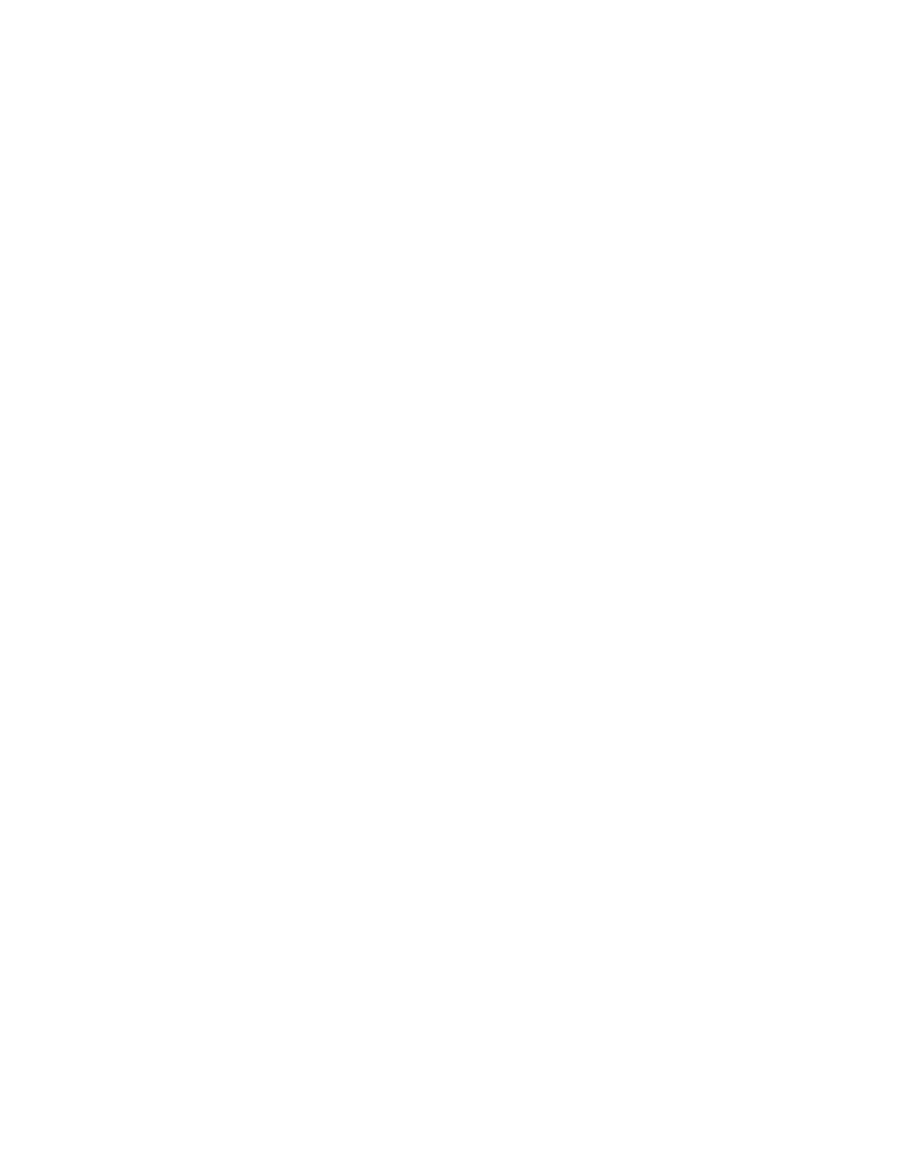### **Function Tables**

#### **Table 3A. CLK\_SEL Configuration Table**

| Input          |                                             |
|----------------|---------------------------------------------|
| <b>CLK SEL</b> | <b>Operation</b>                            |
| $^{(1)}$       | CLK0, nCLK0 is the selected reference clock |
|                | CLK1, nCLK1 is the selected reference clock |

NOTE: CLK\_SEL is an asynchronous control.

#### **Table 3B. nOE Configuration Table**

| Input |                                              |
|-------|----------------------------------------------|
| nOE.  | <b>Operation</b>                             |
| O     | Outputs Qx, nQx are enabled.                 |
|       | Outputs Qx, nQx are in high-impedance state. |

NOTE: OE is an asynchronous control.

### **Table 3C. R<sub>SET</sub> Configuration Table**

| $R_{\sf SFT}$               |                                        |
|-----------------------------|----------------------------------------|
| Resistor Size ( $k\Omega$ ) | <b>Typical Output Slew Rate (V/ns)</b> |
|                             | $0.650$ (fastest)                      |
| 15                          | 0.170                                  |
| 50                          | 0.150                                  |
| 150                         | $0.115$ (slowest)                      |

NOTE: The RSET resistor at the ISET pin allows configuration of the outputs to one of four pre-set output slew rates. A 5% variation of the RSET resistor size will be tolerated.

NOTE: Slew rates are defined as  $\pm 100$ mV from the center of Q – nQ signal.

|  | Table 3D. Guaranteed Input Fail Safe Operations for CLK0, nCLK0 and CLK1, nCLK1 |  |
|--|---------------------------------------------------------------------------------|--|
|  |                                                                                 |  |

| <b>Input State of Selected Input</b>                                         | Outputs Q[0:9], nQ[0:9]                  |
|------------------------------------------------------------------------------|------------------------------------------|
| Logic Low (Selected Input: CLKx = LOW, nCLKx = HIGH)                         | Logic Low $(Qx = LOW, nQx = HIGH)$       |
| Logic High (Selected Input: CLKx = HIGH, nCLKx = LOW)                        | Logic High $(Qx = HIGH, nQx = LOW)$      |
| Inputs Open (Selected Input: $CLKx = open$ , nCL $Kx = open$ )               | Logic High ( $Qx = HIGH$ , $nQx = LOW$ ) |
| Inputs Shorted (Selected Input: CLKx shorted to nCLKx and tied to $V_{DD}$ ) | Logic High $(Qx = HIGH, nQx = LOW)$      |
| Input Shorted (Selected Input: CLKx shorted to nCLKx and floating)           | Logic High ( $Qx = HIGH$ , $nQx = LOW$ ) |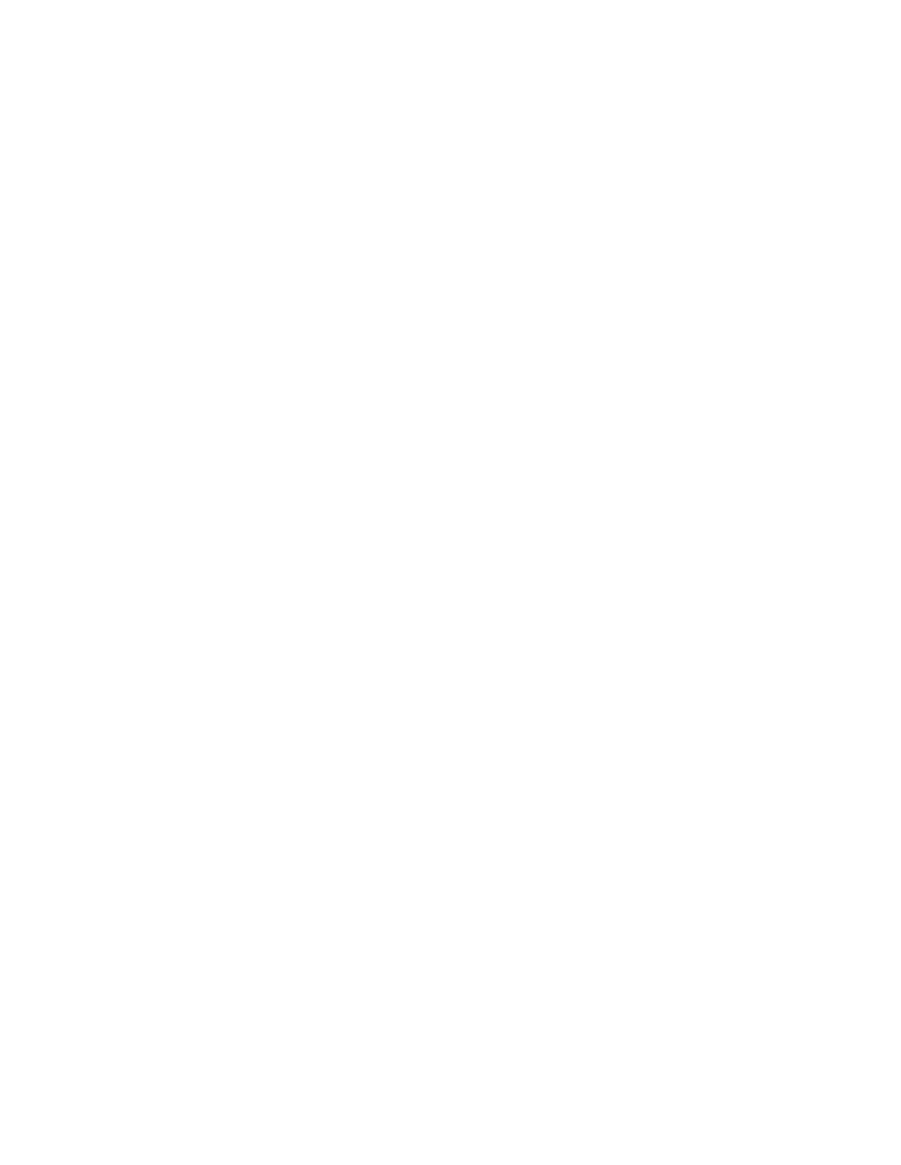# **Absolute Maximum Ratings**

NOTE: Stresses beyond those listed under *Absolute Maximum Ratings* may cause permanent damage to the device. These ratings are stress specifications only. Functional operation of product at these conditions or any conditions beyond those listed in the *DC Characteristics or AC Characteristics* is not implied. Exposure to absolute maximum rating conditions for extended periods may affect product reliability.

| Item                                                                        | Rating                                                   |
|-----------------------------------------------------------------------------|----------------------------------------------------------|
| Supply Voltage, V <sub>DD</sub>                                             | 4.6V                                                     |
| Inputs, $V1$                                                                | -0.5V to $V_{DD}$ + 0.5V                                 |
| Outputs, $I_{\Omega}$ (LVDS)<br><b>Continuos Current</b><br>Surge Current   | 10 <sub>m</sub> A<br>15mA                                |
| Package Thermal Impedance, $\theta_{JA}$<br>l 32 Lead VFQFN<br>32 Lead LOFP | $37.0^{\circ}$ C/W (0 mps)<br>$65.7^{\circ}$ C/W (0 mps) |
| Storage Temperature, T <sub>STG</sub>                                       | -65 $\degree$ C to 150 $\degree$ C                       |

# **DC Electrical Characteristics**

#### Table 4A. Power Supply DC Characteristics,  $V_{DD} = 2.5V \pm 5\%$ ,  $T_A = -40^\circ C$  to 85°C

| Symbol   | <b>Parameter</b>            | <b>Test Conditions</b>                          | <b>Minimum</b> | <b>Typical</b> | <b>Maximum</b> | Units |
|----------|-----------------------------|-------------------------------------------------|----------------|----------------|----------------|-------|
| $V_{DD}$ | Power Supply Voltage        |                                                 | 2.375          | 2.5            | 2.625          |       |
| $I_{DD}$ | <b>Power Supply Current</b> | No Load, $R_{\text{SFT}}$ not connected         |                |                | 18             | mA    |
|          |                             | All Outputs Loaded, $R_{\text{SFT}} = 4k\Omega$ |                |                | 86             | mA    |
|          |                             | No Load, $R_{\text{SFT}}$ = 4k $\Omega$         |                |                | 30             | mA    |

#### Table 4B. LVCMOS/LVTTL Input DC Characteristics,  $V_{DD} = 2.5V \pm 5\%$ ,  $T_A = -40^{\circ}C$  to 85°C

| Symbol                        | <b>Parameter</b>   |              | <b>Test Conditions</b>         | <b>Minimum</b> | <b>Typical</b> | <b>Maximum</b> | Units |
|-------------------------------|--------------------|--------------|--------------------------------|----------------|----------------|----------------|-------|
| $V_{\text{I}H}$               | Input High Voltage |              |                                |                |                | $V_{DD}$ + 0.3 |       |
| $V_{IL}$                      | Input Low Voltage  |              |                                | $-0.3$         |                | 0.8            |       |
| $I_{\text{IH}}$               | Input High Current | CLK_SEL, nOE | $V_{DD} = V_{IN} = 2.625V$     |                |                | 150            | μA    |
| $\  \mathsf{l}_{\mathsf{IL}}$ | Input Low Current  | CLK_SEL, nOE | $V_{DD} = 2.625V, V_{IN} = 0V$ | -5             |                |                | μA    |

#### Table 4C. Differential DC Characteristics,  $V_{DD} = 2.5V \pm 5\%$ ,  $T_A = -40^\circ C$  to 85°C

| Symbol    | <b>Parameter</b>                                 | <b>Test Conditions</b> | <b>Minimum</b> | <b>Typical</b> | <b>Maximum</b>  | <b>Units</b> |
|-----------|--------------------------------------------------|------------------------|----------------|----------------|-----------------|--------------|
| $V_{PP}$  | Peak-to-Peak Input Voltage;<br>NOTE <sub>1</sub> |                        | 0.15           |                | 1.2             |              |
| $V_{CMR}$ | Common Mode Input Voltage;<br>NOTE 1.2           |                        | $GND + 0.8$    |                | $V_{DD}$ - 0.85 |              |

NOTE 1:  $V_{IL}$  should not be less than -0.3V.

NOTE 2: Common mode input voltage is defined as  $V_{\text{IH}}$ .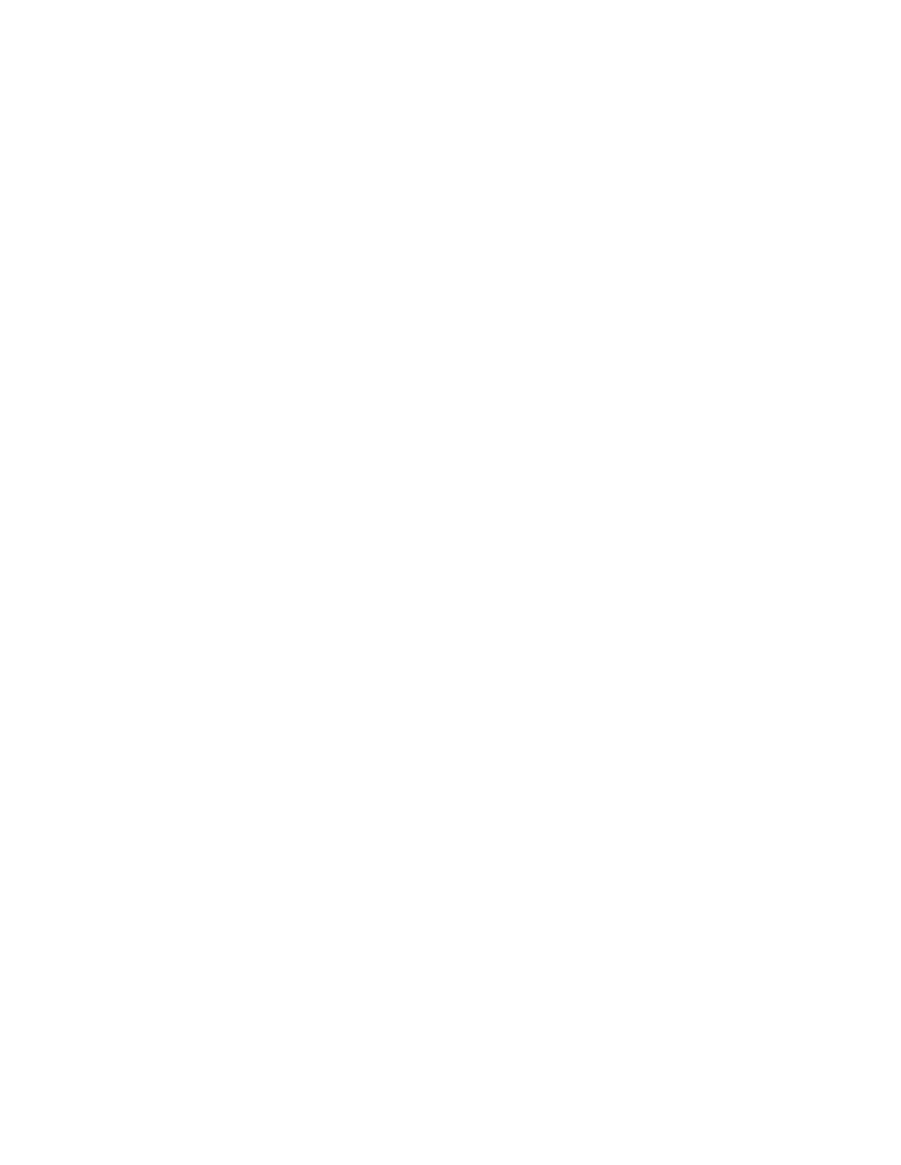| <b>Symbol</b>   | <b>Parameter</b>                 | <b>Test Conditions</b>                    | <b>Minimum</b> | <b>Typical</b> | <b>Maximum</b> | <b>Units</b> |
|-----------------|----------------------------------|-------------------------------------------|----------------|----------------|----------------|--------------|
| $V_{OD}$        | Differential Output Voltage      | $\mathsf{R}_{\mathsf{SET}}$ = 4k $\Omega$ | 250            |                | 600            | mV           |
| $\Delta V_{OD}$ | V <sub>OD</sub> Magnitude Change | $R_{\text{SFT}} = 4k\Omega$               |                |                | 50             | mV           |
| $V_{OS}$        | Offset Voltage                   | $R_{\text{SFT}} = 4k\Omega$               | 1.115          |                | 1.430          |              |
| $\Delta V_{OS}$ | $V_{OS}$ Magnitude Change        | $R_{\mathsf{SET}} = 4\mathsf{k}\Omega$    |                |                | 50             | mV           |

### Table 4D. LVDS DC Characteristics,  $V_{DD} = 2.5V \pm 5\%$ ,  $T_A = -40^{\circ}C$  to  $85^{\circ}C$

# **AC Electrical Characteristics**

### Table 5. AC Electrical Characteristics,  $V_{DD} = 2.5V \pm 5\%$ ,  $T_A = -40^{\circ}C$  to  $85^{\circ}C$

| Symbol           | <b>Parameter</b>          |                                                                      | <b>Test Conditions</b>                                                                       | <b>Minimum</b> | <b>Typical</b> | <b>Maximum</b> | <b>Units</b> |
|------------------|---------------------------|----------------------------------------------------------------------|----------------------------------------------------------------------------------------------|----------------|----------------|----------------|--------------|
|                  |                           |                                                                      | $R_{\text{SET}} = 4k\Omega$                                                                  |                |                | 200            | MHz          |
|                  | Input Frequency           |                                                                      | $R_{\text{SET}} = 15k\Omega$                                                                 |                |                | 30             | <b>MHz</b>   |
| $f_{REF}$        |                           |                                                                      | $R_{\text{SET}} = 50 \text{k}\Omega$                                                         |                |                | 20             | <b>MHz</b>   |
|                  |                           |                                                                      | $R_{\text{SET}} = 150 \text{k}\Omega$                                                        |                |                | 16             | <b>MHz</b>   |
|                  |                           |                                                                      | $R_{\text{SET}} = 4k\Omega$                                                                  |                |                | 200            | <b>MHz</b>   |
|                  | Output                    | Q[9:0], nQ[9:0]                                                      | $R_{\text{SET}} = 15k\Omega$                                                                 |                |                | 30             | MHz          |
| $f_{\text{OUT}}$ | Frequency                 |                                                                      | $R_{\text{SET}} = 50k\Omega$                                                                 |                |                | 20             | <b>MHz</b>   |
|                  |                           |                                                                      | $\mathsf{R}_{\mathsf{SET}} = 150\mathsf{k}\Omega$                                            |                |                | 16             | <b>MHz</b>   |
| $t_{\text{JIT}}$ | Section                   | Buffer Additive Phase Jitter, RMS;<br>refer to Additive Phase Jitter | $R_{\text{SET}} = 4k\Omega$ , f <sub>REF</sub> = 125MHz,<br>Integration Range: 12kHz - 20MHz |                | 0.291          |                | ps           |
|                  |                           |                                                                      | $R_{\text{SET}} = 4k\Omega$                                                                  | 3.2            | 4.0            | 4.6            | ns           |
|                  | Propagation<br>Delay;     | CLKx, nCLKx to                                                       | $R_{\text{SET}} = 15k\Omega$                                                                 | 4.6            | 5.5            | 6.3            | ns           |
| t <sub>PD</sub>  | NOTE <sub>1</sub>         | any Qx, nQx output                                                   | $R_{\text{SET}} = 50 \text{k}\Omega$                                                         | 5.4            | 6.5            | 7.7            | ns           |
|                  |                           |                                                                      | $R_{\text{SET}} = 150 \text{k}\Omega$                                                        | 7.5            | 8.3            | 9.3            | ns           |
|                  |                           |                                                                      | $R_{\text{SET}} = 4k\Omega$                                                                  |                | 125            | 260            | ps           |
| $t$ sk $(o)$     | Output Skew; NOTE 2, 3    |                                                                      | $R_{\text{SET}} = 15 \overline{k\Omega}$                                                     |                | 160            | 425            | ps           |
|                  |                           |                                                                      | $R_{\text{SET}} = 50 \text{k}\Omega$                                                         |                | 200            | 525            | ps           |
|                  |                           |                                                                      | $R_{\text{SET}} = 150 \text{k}\Omega$                                                        |                | 240            | 550            | ps           |
| $t$ sk $(p)$     | <b>Pulse Skew</b>         |                                                                      | $R_{\text{SET}} = 4k\Omega$                                                                  |                | 80             | 185            | ps           |
|                  |                           |                                                                      | $\overline{\mathsf{RSET}} \neq 4\mathsf{k}\Omega$                                            |                |                | 265            | ps           |
|                  |                           |                                                                      | $R_{\text{SET}} = 4k\Omega$                                                                  |                | 600            | 1200           | ps           |
| $t$ sk $(pp)$    |                           | Part-to-Part Skew; NOTE 3, 4                                         | $R_{\text{SET}} = 15k\Omega$                                                                 |                | 825            | 1500           | ps           |
|                  |                           |                                                                      | $R_{\text{SET}} = 50 \text{k}\Omega$                                                         |                | 975            | 2100           | ps           |
|                  |                           |                                                                      | $R_{\text{SET}} = 150 \text{k}\Omega$                                                        |                | 1245           | 1650           | ps           |
|                  |                           |                                                                      | $R_{\text{SET}} = 4k\Omega$                                                                  | 0.450          | 0.650          | 1.3            | V/ns         |
| tsl(o)           |                           |                                                                      | $R_{\text{SET}} = 15k\Omega$                                                                 | 0.110          | 0.170          | 0.350          | V/ns         |
|                  | Output Clock Slew Rate    |                                                                      | $R_{\text{SET}} = 50 \text{k}\Omega$                                                         | 0.110          | 0.150          | 0.325          | V/ns         |
|                  |                           |                                                                      | $R_{\text{SET}} = 150 \text{k}\Omega$                                                        | 0.075          | 0.115          | 0.250          | V/ns         |
|                  |                           |                                                                      | $\overline{R_{\text{SET}}}$ = 4k $\Omega$ , f <sub>REF</sub> $\leq$ 200MHz                   | 45             | 50             | 55             | $\%$         |
| odc              |                           |                                                                      | $R_{\text{SET}} = 15k\Omega$ , f <sub>REF</sub> $\leq$ 30MHz                                 | 48             | 50             | 52             | $\%$         |
|                  | Output Duty Cycle; NOTE 5 |                                                                      | $R_{\text{SET}} = 50 \text{k}\Omega$ , f <sub>REF</sub> $\leq$ 20MHz                         | 48             | 50             | 52             | $\%$         |
|                  |                           |                                                                      | $R_{\text{SET}} = 150 \text{k}\Omega$ , f <sub>REF</sub> $\leq 16 \text{MHz}$                | 48             | 50             | 52             | $\%$         |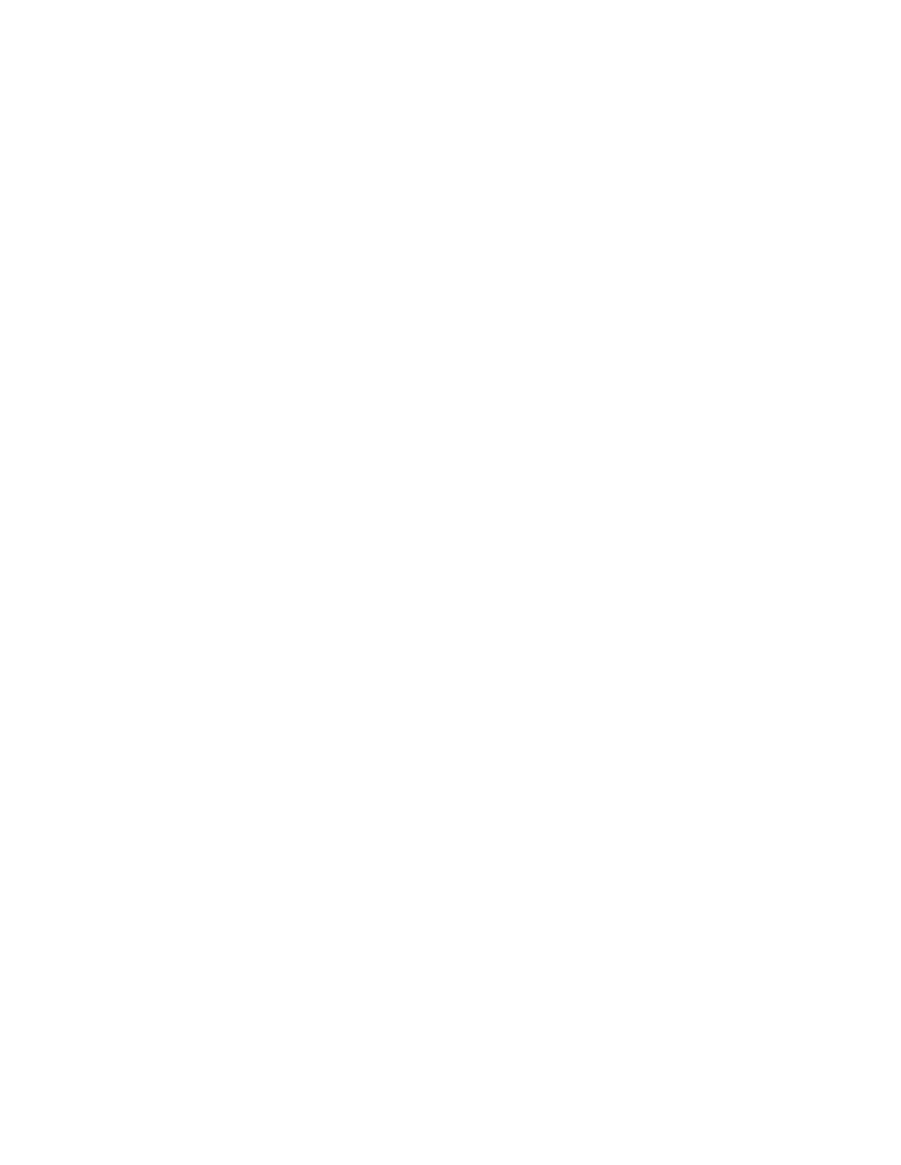

| Symbol      | <b>Parameter</b>        | <b>Test Conditions</b>                      | <b>Minimum</b> | <b>Typical</b> | <b>Maximum</b> | <b>Units</b> |
|-------------|-------------------------|---------------------------------------------|----------------|----------------|----------------|--------------|
| $t_R / t_F$ |                         | $R_{\text{SFT}} = 4k\Omega$                 | 100            | 300            | 500            | ps           |
|             | Output Rise/ Fall Time; | $\rm R_{SFT}$ = 15k $\Omega$                | 600            | 1030           | 1600           | ps           |
|             | 30% to 70%              | $R_{\text{SFT}} = 50 \text{k}\Omega$        | 650<br>1160    |                | 1850           | ps           |
|             |                         | $\mathsf{R}_{\mathsf{SET}}$ = 150k $\Omega$ | 800            | 1540           | 2200           | ps           |

NOTE: Electrical parameters are guaranteed over the specified ambient operating temperature range, which is established when the device is mounted in a test socket with maintained transverse airflow greater than 500 lfpm. The device will meet specifications after thermal equilibrium has been reached under these conditions.

NOTE 1: Measured from the differential input crossing point to the differential output crossing point.

NOTE 2: Defined as skew between outputs at the same supply voltage and with equal load conditions. Measured at the differential cross points.

NOTE 3: This parameter is defined in accordance with JEDEC Standard 65.

NOTE 4: Defined as skew between outputs on different devices operating at the same supply voltage, same frequency, same temperature and with equal load conditions. Using the same type of inputs on each device, the outputs are measured at the differential cross points. NOTE 5: Input Duty Cycle must be 50%.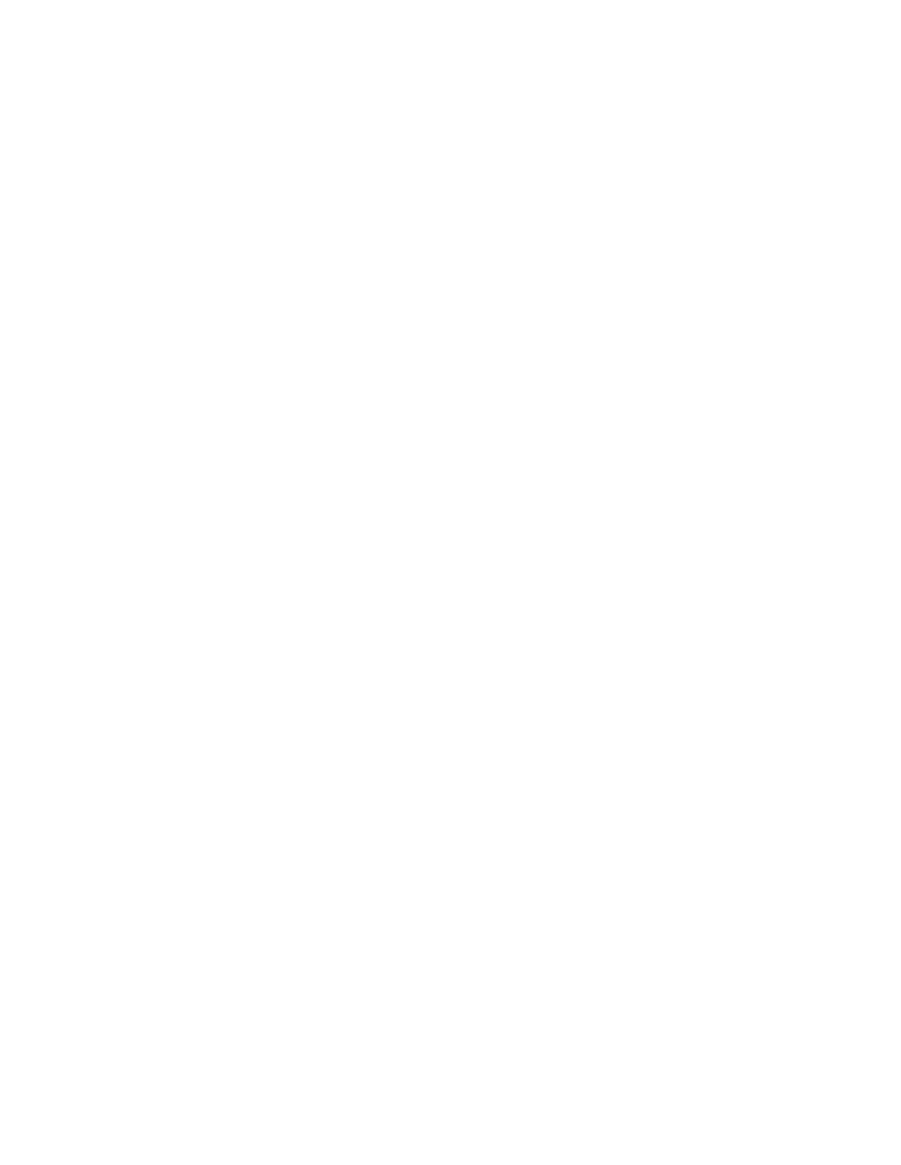# **Additive Phase Jitter**

The spectral purity in a band at a specific offset from the fundamental compared to the power of the fundamental is called the *dBc Phase Noise.* This value is normally expressed using a Phase noise plot and is most often the specified plot in many applications. Phase noise is defined as the ratio of the noise power present in a 1Hz band at a specified offset from the fundamental frequency to the power value of the fundamental. This ratio is expressed in decibels (dBm) or a

ratio of the power in the 1Hz band to the power in the fundamental. When the required offset is specified, the phase noise is called a *dBc* value, which simply means dBm at a specified offset from the fundamental. By investigating jitter in the frequency domain, we get a better understanding of its effects on the desired application over the entire time record of the signal. It is mathematically possible to calculate an expected bit error rate given a phase noise plot.



As with most timing specifications, phase noise measurements have issues relating to the limitations of the equipment. Often the noise floor of the equipment is higher than the noise floor of the device. This is illustrated above. The device meets the noise floor of what is shown, but can actually be lower. The phase noise is dependent on the input source and measurement equipment.

The source generator used is, "Rohde & Schwarz SMA 100A Signal Generator into a HP 8133A 3GHz Pulse Generator".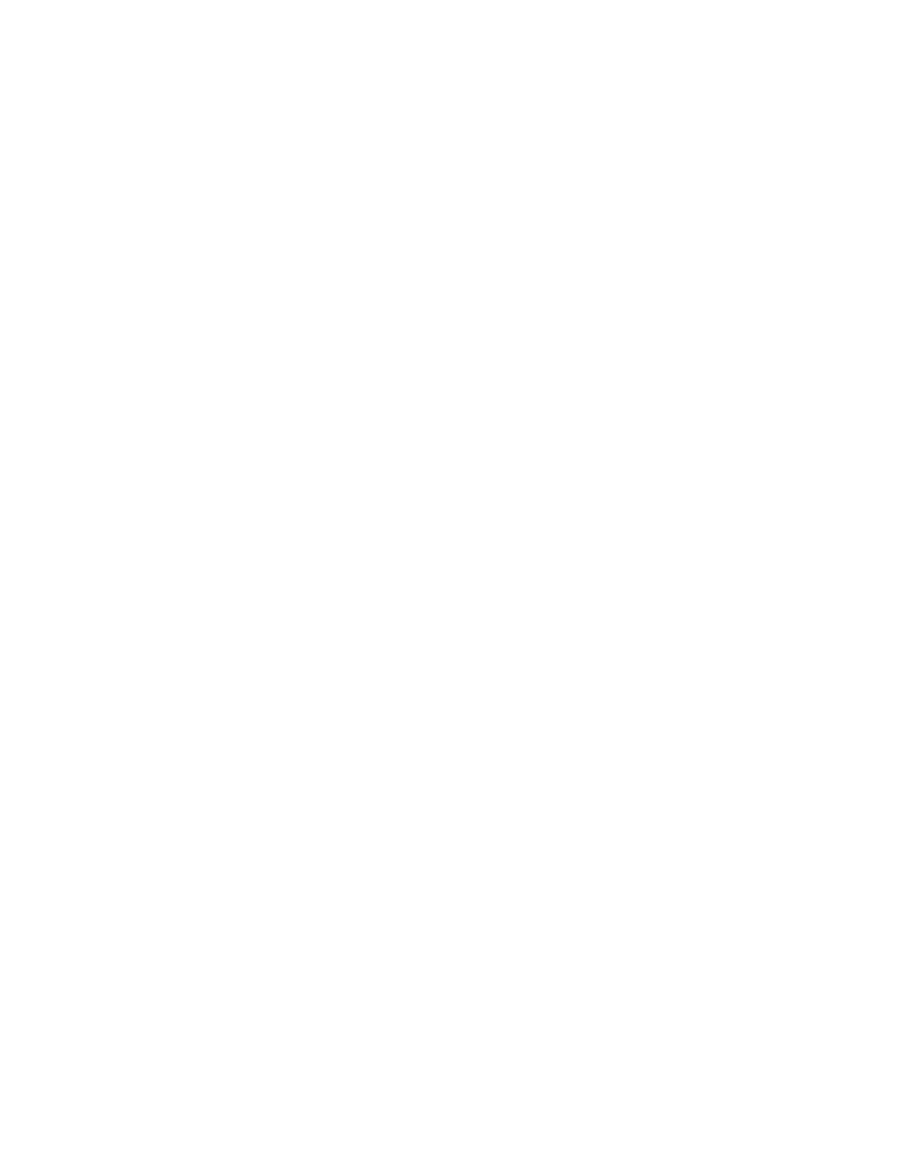### **Parameter Measurement Information**



**2.5V LVDS Output Load AC Test Circuit**



**Output Skew**



**Pulse Skew**



**Differential Input Level**



**Part-to-Part Skew**



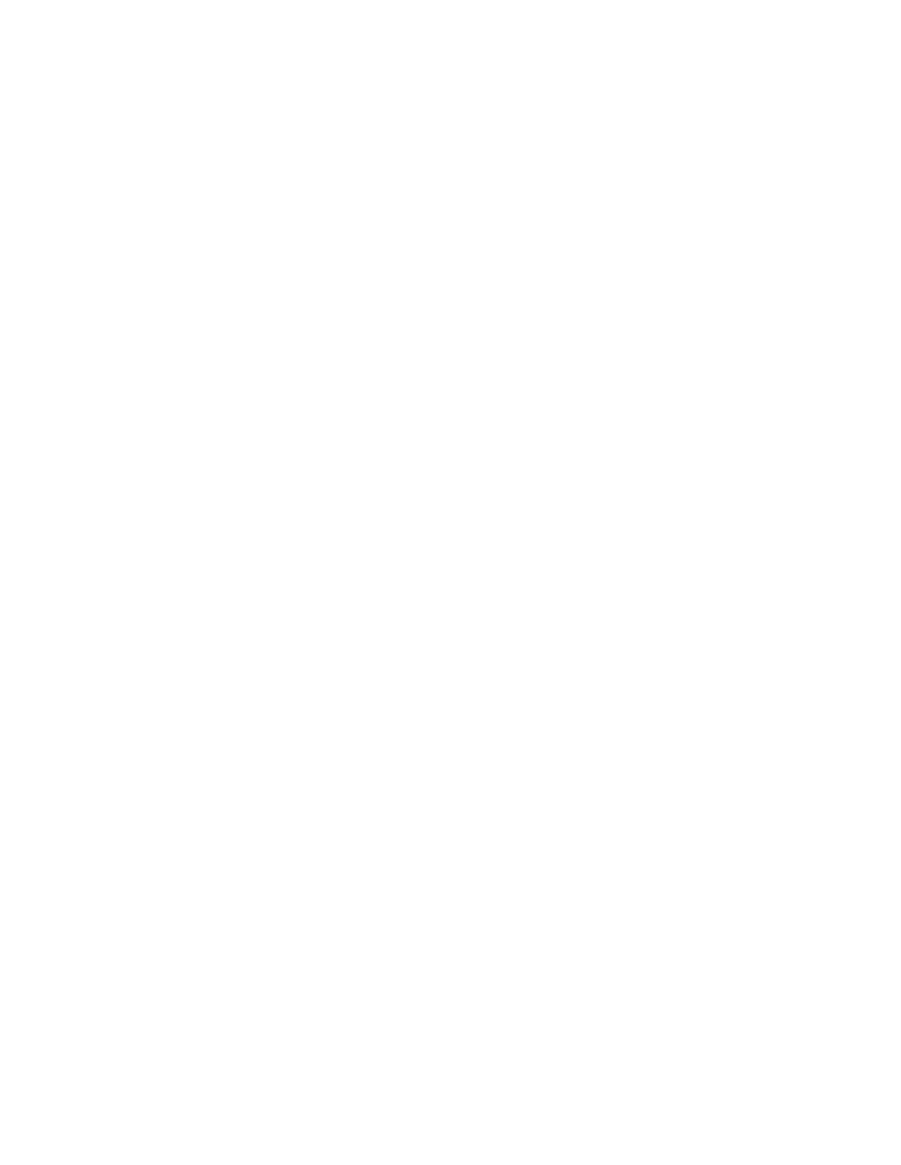# $\mathbf{I}(\mathbf{S},\mathbf{S})$

## **Parameter Measurement Information, continued**



**Output Rise/Fall Time**



**Differential Output Voltage Setup**



**Differential Output Slew Rate**



**Output Duty Cycle/Pulse Width/Period**



**Offset Voltage Setup**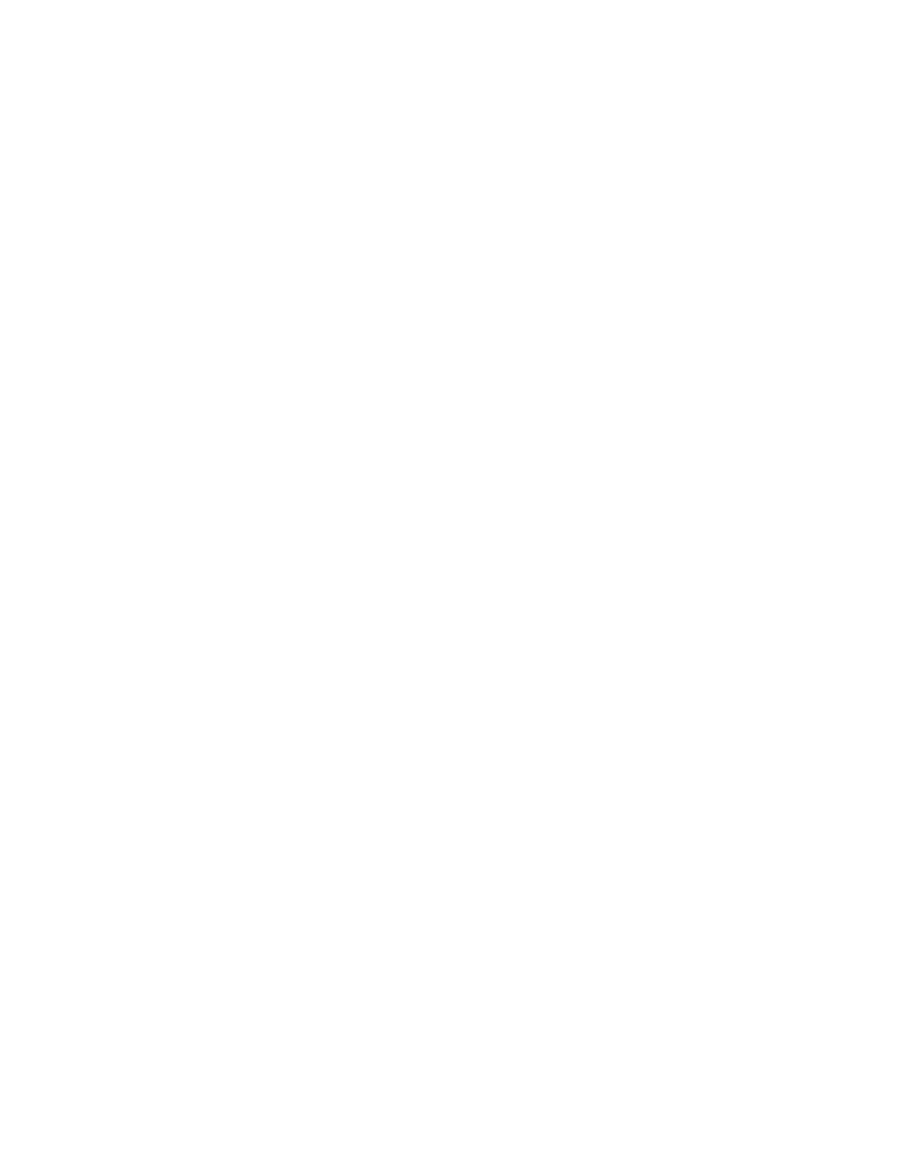# **Applications Information**

### **Wiring the Differential Input to Accept Single-Ended Levels**

*Figure 1* shows how a differential input can be wired to accept single ended levels. The reference voltage  $V_{\text{BFF}} = V_{\text{DD}}/2$  is generated by the bias resistors R1 and R2. The bypass capacitor (C1) is used to help filter noise on the DC bias. This bias circuit should be located as close to the input pin as possible. The ratio of R1 and R2 might need to be adjusted to position the  $V_{REF}$  in the center of the input voltage swing. For example, if the input clock swing is 2.5V and  $V_{DD} = 3.3V$ , R1 and R2 value should be adjusted to set  $V_{\text{RFF}}$  at 1.25V. The values below are for when both the single ended swing and  $V_{DD}$  are at the same voltage. This configuration requires that the sum of the output impedance of the driver (Ro) and the series resistance (Rs) equals the transmission line impedance. In addition, matched termination at the input will attenuate the signal in half. This can be done in one of two ways. First, R3 and R4 in parallel should equal the transmission line impedance. For most 50Ω applications, R3 and R4 can be 100Ω. The values of the resistors can be increased to reduce the loading for slower and weaker LVCMOS driver. When using single-ended signaling, the noise rejection benefits of differential signaling are reduced. Even though the differential input can handle full rail LVCMOS signaling, it is recommended that the amplitude be reduced. The datasheet specifies a lower differential amplitude, however this only applies to differential signals. For single-ended applications, the swing can be larger, however  $V_{\parallel L}$  cannot be less than -0.3V and  $V_{\text{IH}}$  cannot be more than  $V_{\text{DD}}$  + 0.3V. Though some of the recommended components might not be used, the pads should be placed in the layout. They can be utilized for debugging purposes. The datasheet specifications are characterized and guaranteed by using a differential signal.



**Figure 1. Recommended Schematic for Wiring a Differential Input to Accept Single-ended Levels**

### **Recommendations for Unused Input and Output Pins**

#### **Inputs:**

#### **CLK/nCLK Inputs**

For applications not requiring the use of the differential input, both CLK and nCLK can be left floating. Though not required, but for additional protection, a 1k $\Omega$  resistor can be tied from CLK to ground.

#### **LVCMOS Control Pins**

All control pins have internal pull-ups or pull-downs; additional resistance is not required but can be added for additional protection. A 1kΩ resistor can be used.

### **Outputs:**

#### **LVDS Outputs**

All unused LVDS outputs should be terminated with 100Ω resistor between the differential pair.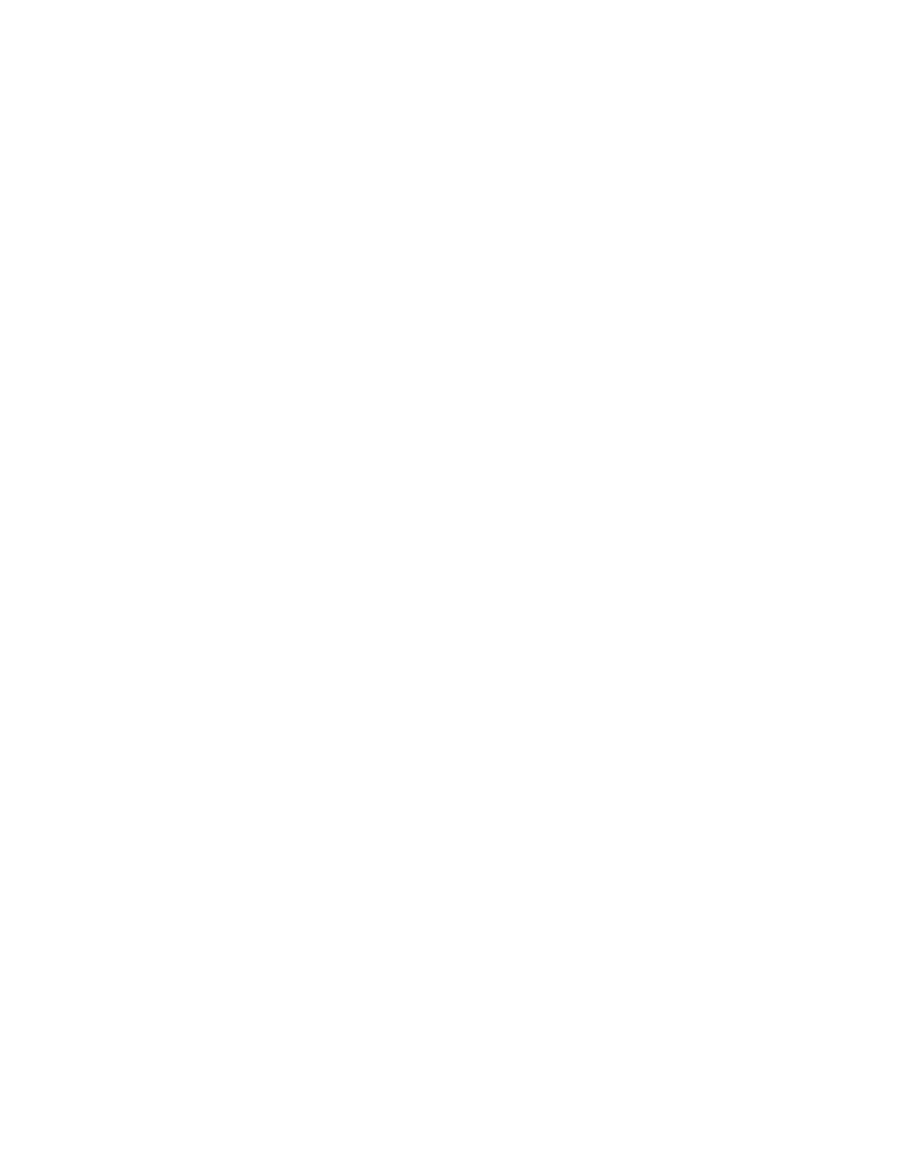### **Differential Clock Input Interface**

The CLK/nCLK accepts LVPECL, LVDS and other differential signals. Both differential signals must meet the  $V_{PP}$  and  $V_{CMB}$  input requirements. *Figures 2A to 2C* show interface examples for the CLK/nCLK input driven by the most common driver types. The input



**Figure 2A. CLK/nCLK Input Driven by a 2.5V LVPECL Driver**



**Figure 2C. CLK/nCLK Input Driven by an LVDS Driver**

interfaces suggested here are examples only. If the driver is from another vendor, use their termination recommendation. Please consult with the vendor of the driver component to confirm the driver termination requirements.



**Figure 2B. CLK/nCLK Input Driven by a 2.5V LVPECL Driver with AC Coupler**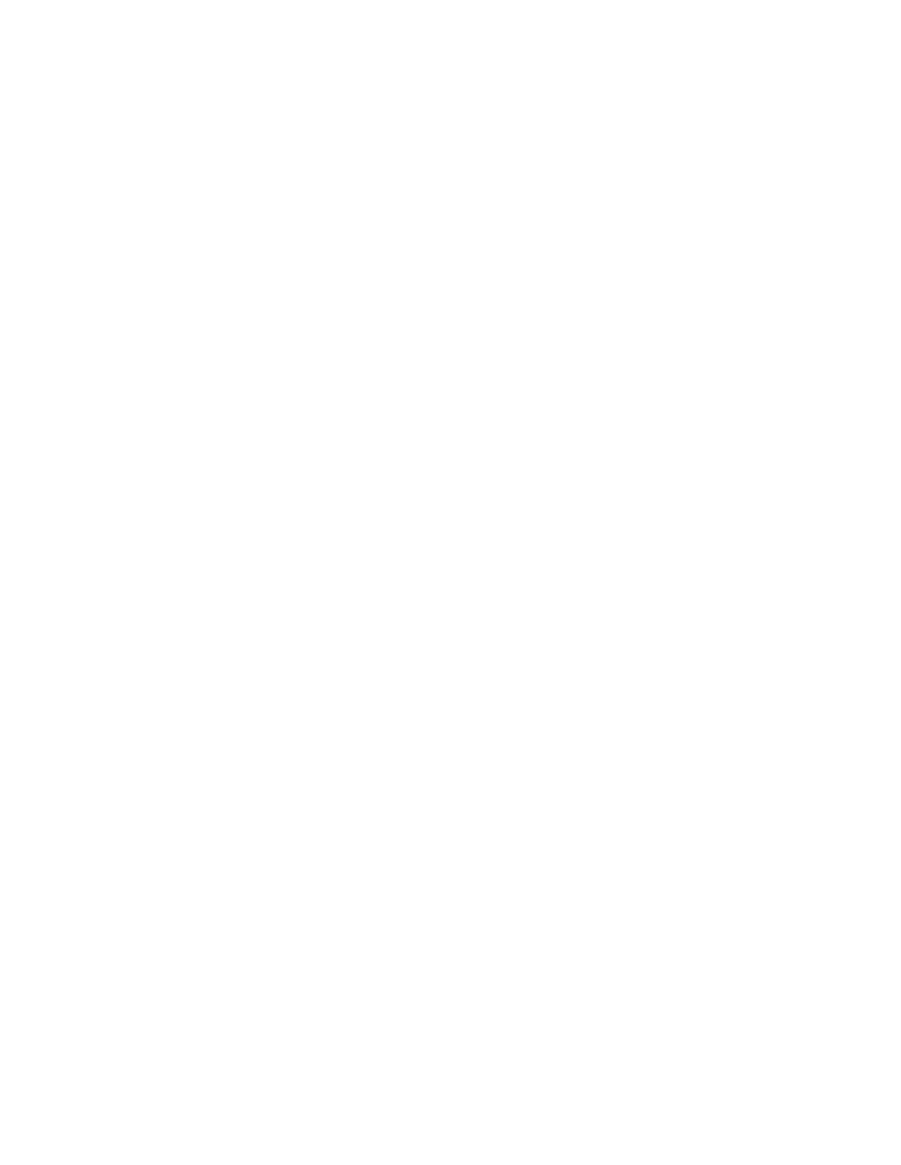### **VFQFN EPAD Thermal Release Path**

In order to maximize both the removal of heat from the package and the electrical performance, a land pattern must be incorporated on the Printed Circuit Board (PCB) within the footprint of the package corresponding to the exposed metal pad or exposed heat slug on the package, as shown in *Figure 3.* The solderable area on the PCB, as defined by the solder mask, should be at least the same size/shape as the exposed pad/slug area on the package to maximize the thermal/electrical performance. Sufficient clearance should be designed on the PCB between the outer edges of the land pattern and the inner edges of pad pattern for the leads to avoid any shorts.

While the land pattern on the PCB provides a means of heat transfer and electrical grounding from the package to the board through a solder joint, thermal vias are necessary to effectively conduct from the surface of the PCB to the ground plane(s). The land pattern must be connected to ground through these vias. The vias act as "heat pipes". The number of vias (i.e. "heat pipes") are application specific and dependent upon the package power dissipation as well as electrical conductivity requirements. Thus, thermal and electrical analysis and/or testing are recommended to determine the minimum number needed. Maximum thermal and electrical performance is achieved when an array of vias is incorporated in the land pattern. It is recommended to use as many vias connected to ground as possible. It is also recommended that the via diameter should be 12 to 13mils (0.30 to 0.33mm) with 1oz copper via barrel plating. This is desirable to avoid any solder wicking inside the via during the soldering process which may result in voids in solder between the exposed pad/slug and the thermal land. Precautions should be taken to eliminate any solder voids between the exposed heat slug and the land pattern. Note: These recommendations are to be used as a guideline only. For further information, please refer to the Application Note on the Surface Mount Assembly of Amkor's Thermally/ Electrically Enhance Leadframe Base Package, Amkor Technology.



**Figure 3. P.C. Assembly for Exposed Pad Thermal Release Path – Side View (drawing not to scale)**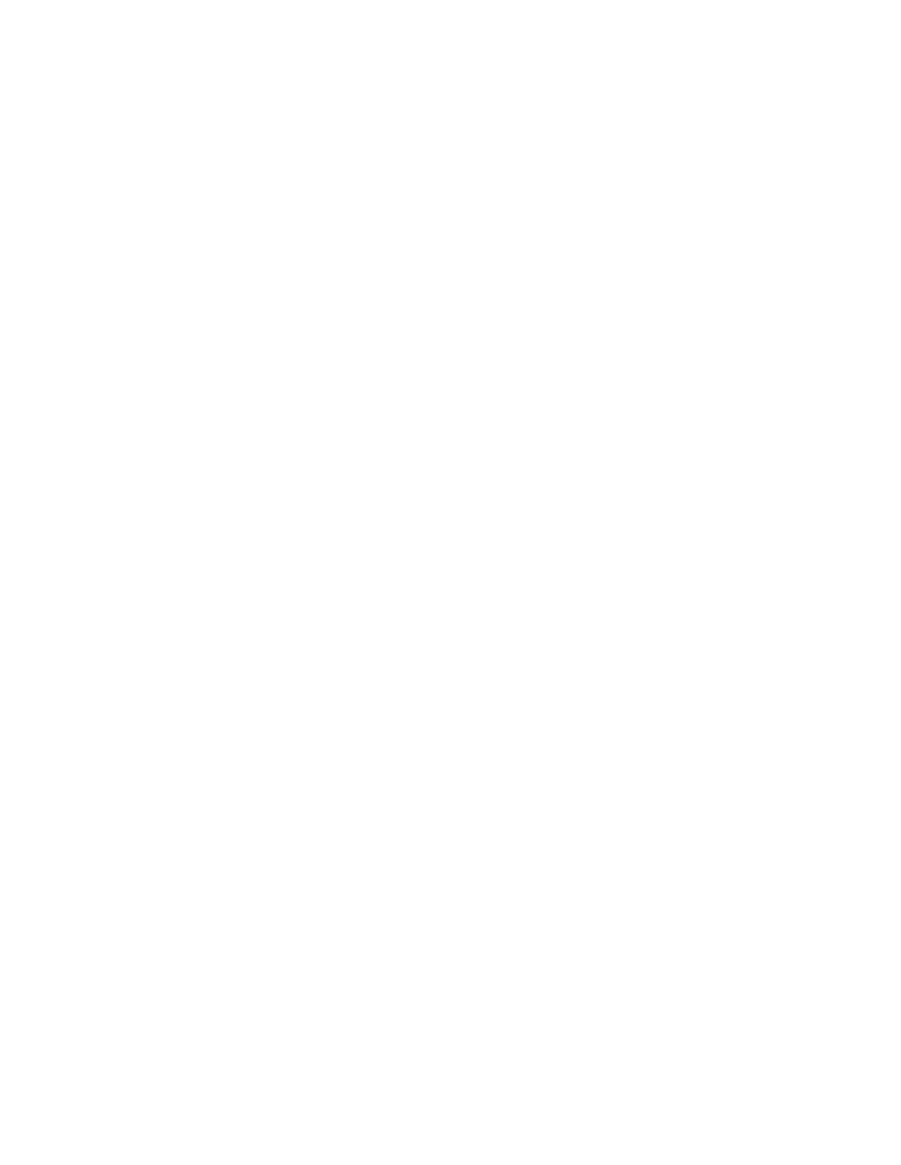### **LVDS Driver Termination**

A general LVDS interface is shown in *Figure 4.* Standard termination for LVDS type output structure requires both a 100Ω parallel resistor at the receiver and a 100Ω differential transmission line environment. In order to avoid any transmission line reflection issues, the 100Ω resistor must be placed as close to the receiver as possible. IDT offers a full line of LVDS compliant devices with two types of output structures: current source and voltage source. The standard

termination schematic as shown in Figure 4 can be used with either type of output structure. If using a non-standard termination, it is recommended to contact IDT and confirm if the output is a current source or a voltage source type structure. In addition, since these outputs are LVDS compatible, the amplitude and common mode input range of the input receivers should be verified for compatibility with the output.



**Figure 4. Typical LVDS Driver Termination**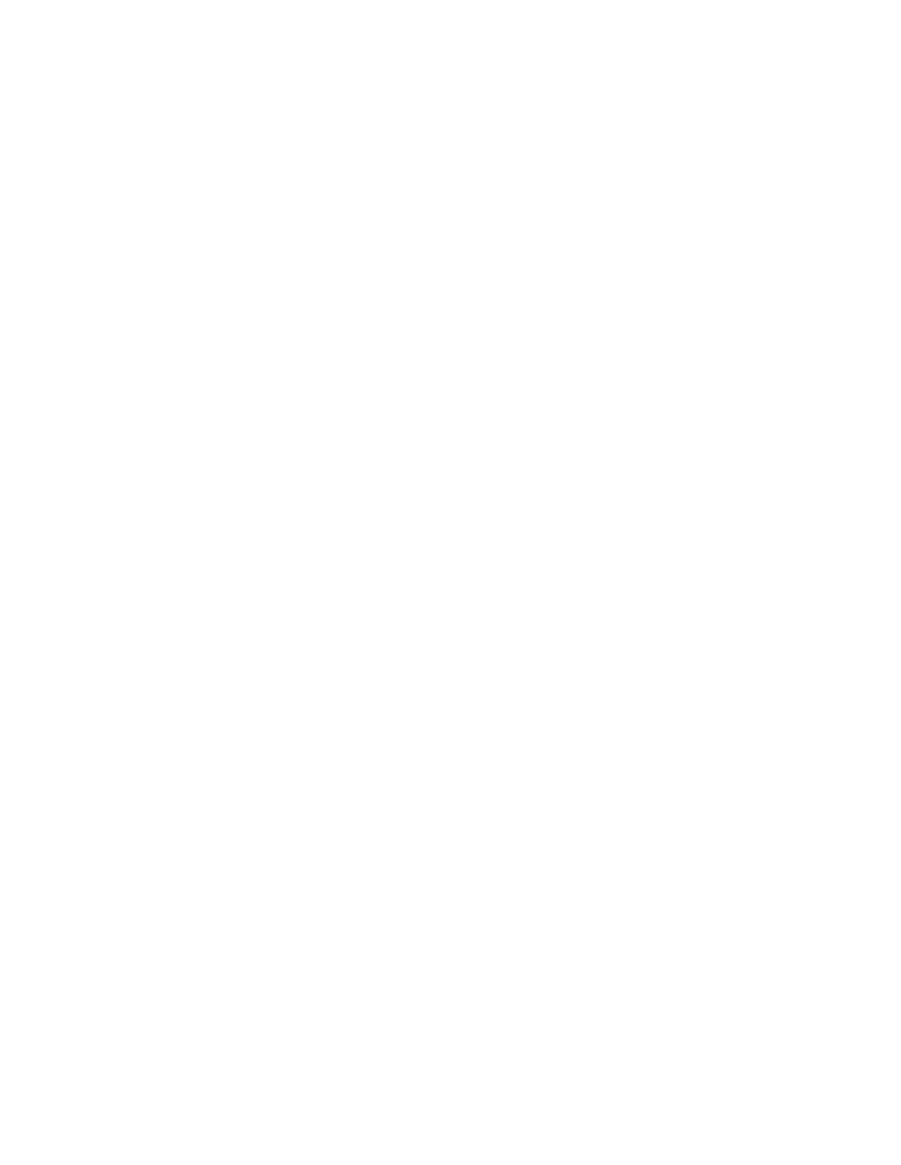

### **Power Considerations**

This section provides information on power dissipation and junction temperature for the ICS854110I. Equations and example calculations are also provided.

#### **1. Power Dissipation.**

The total power dissipation for the ICS54110I is the sum of the core power plus the power dissipation in the load(s). The following is the power dissipation for  $V_{DD} = 2.5V + 5\% = 2.625V$ , which gives worst case results.

Total power dissipation, includes power dissipation on external components.

 $P_{\text{1}}$ core+load =  $V_{\text{DD}}$  <sub>MAX</sub>  $*$   $I_{\text{DD}}$  <sub>core+load</sub> = 2.625V  $*$  86mA = 225.75mW

Where:

I<sub>DD</sub> <sub>core+load</sub> is the total supply current which includes external components

To calculate the power dissipation on the device alone, Pd\_total, and use it for junction temperature calculation, subtract the power dissipation on the external components.

•  $Pd\_total = P\_core+load - (P\_load + P\_rset)$ 

Where:

P\_load is power dissipation on the output loadings P\_rset is power dissipation on the  $R_{\text{SET}}$ 

The load current per output is:

•  $I_{\text{OD\_core+load}} - I_{\text{DD\_load}} / N = (86 \text{mA} - 18 \text{mA}) / 10 = 6.8 \text{mA}$ 

Where:  $I_{DD}$  <sub>no load</sub> is  $I_{DD}$  current at no load condition N is number of outputs

Power Dissipation on output loads

• P\_load = (lout)^2 \* R\_load \* N =  $(6.8 \text{mA})$ ^2 \* 100 $\Omega$  \* 10 = 46.2mW

Power Dissipation on RSET

• P\_rset =  $(Vrset)^2 / R_{SET} = (1V)^2 / 4k\Omega = 0.25mW$ (NOTE: P\_rset is small and can be negligible)

Total Power Dissipation on the part excluding the power dissipation on the external components.

 $Pd\_total = P\_core+load - (P\_load + P\_rset)$  $= 225.75$ mW – (46.2mW + 0.25mW) **= 179.3mW**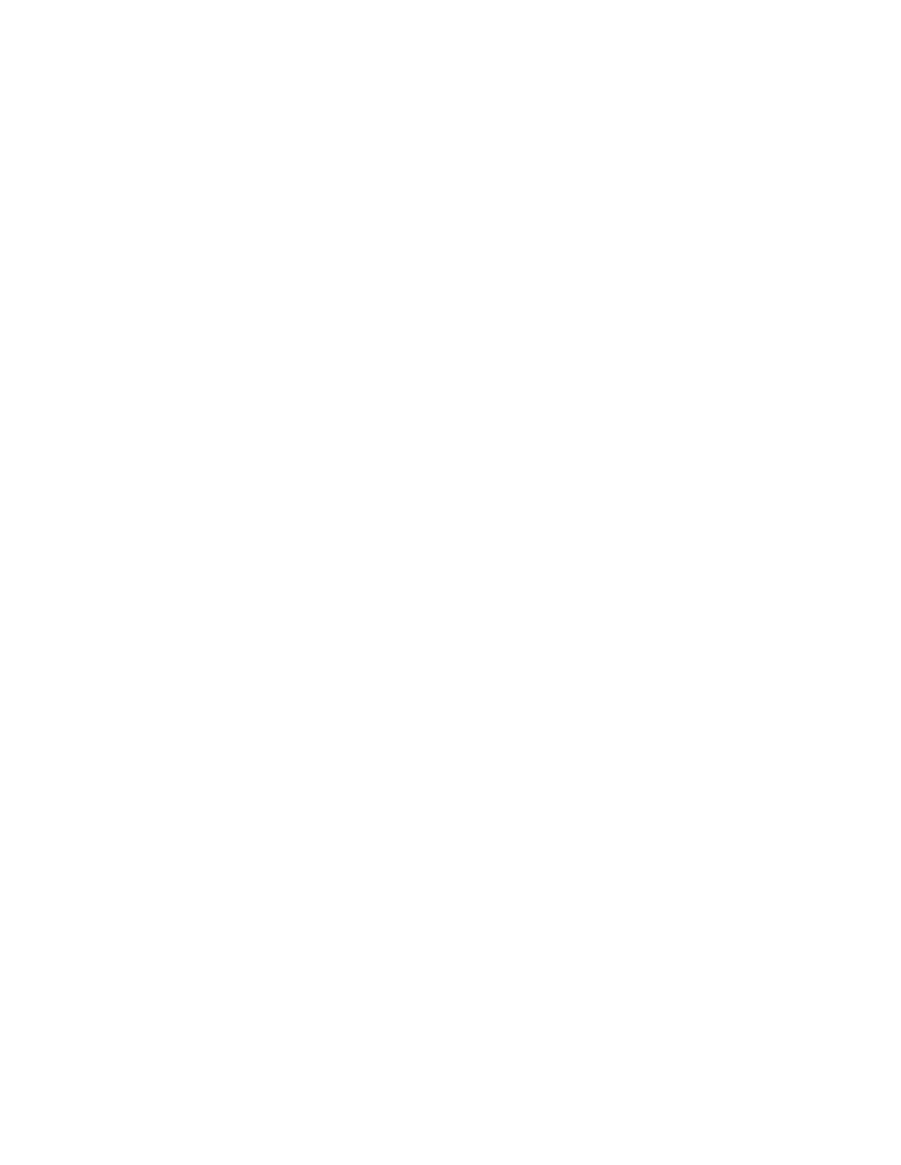

#### **2. Junction Temperature.**

Junction temperature, Tj, is the temperature at the junction of the bond wire and bond pad, and directly affects the reliability of the device. The maximum recommended junction temperature is 125°C. Limiting the internal transistor junction temperature, Tj, to 125°C ensures that the bond wire and bond pad temperature remains below 125°C.

The equation for Tj is as follows: Tj =  $\theta_{JA}$  \* Pd\_total + T<sub>A</sub>

Tj = Junction Temperature

 $\theta_{JA}$  = Junction-to-Ambient Thermal Resistance

Pd\_total = Total Device Power Dissipation (example calculation is in section 1 above)

 $T_A$  = Ambient Temperature

In order to calculate junction temperature, the appropriate junction-to-ambient thermal resistance  $\theta_{JA}$  must be used. Assuming no air flow and a multi-layer board, the appropriate value is 65.7°C/W per Table 6A below.

Therefore, Tj for an ambient temperature of 85°C with all outputs switching is:

 $85^{\circ}$ C + 0.179W  $*$  65.7°C/W = 96.8°C. This is below the limit of 125°C.

This calculation is only an example. Tj will obviously vary depending on the number of loaded outputs, supply voltage, air flow and the type of board (multi-layer).

#### **Table 6A. Thermal Resistance** θJA **for 32 Lead LQFP, Forced Convection**

|                                             | $\theta_{JA}$ by Velocity |                    |          |
|---------------------------------------------|---------------------------|--------------------|----------|
| Meters per Second                           |                           |                    | 2.5      |
| Multi-Layer PCB, JEDEC Standard Test Boards | 65.7°C/W                  | $55.9^{\circ}$ C/W | 52.4°C/W |

#### Table 6B. Thermal Resistance  $θ_{JA}$  for 32 Lead VFQFN, Forced Convection

| $\theta_{JA}$ by Velocity                   |                    |                    |                    |  |  |
|---------------------------------------------|--------------------|--------------------|--------------------|--|--|
| Meters per Second                           |                    |                    | 2.5                |  |  |
| Multi-Layer PCB, JEDEC Standard Test Boards | $37.0^{\circ}$ C/W | $32.4^{\circ}$ C/W | $29.0^{\circ}$ C/W |  |  |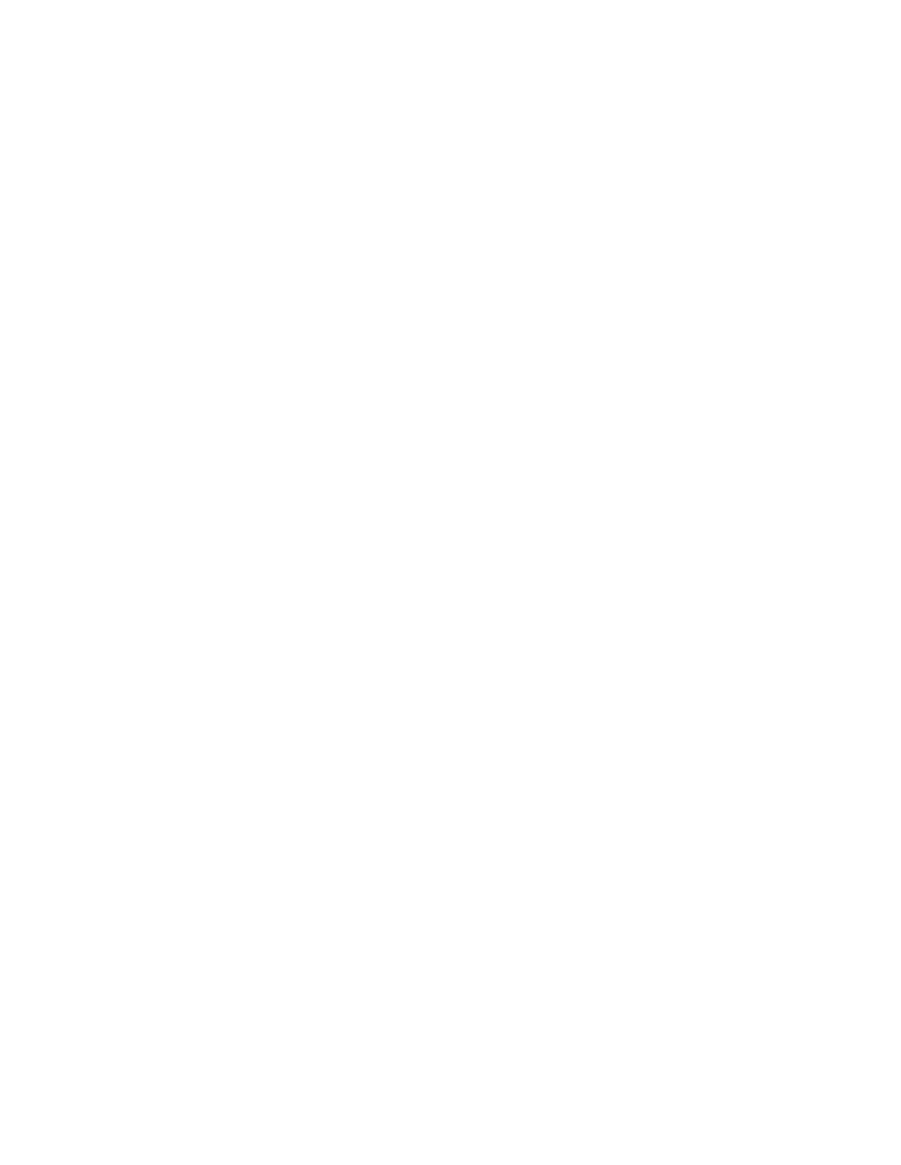

# **Reliability Information**

### **Table 7A.** θJA **vs. Air Flow Table for a 32-Lead VFQFN**

|                                             | $\theta_{\mathsf{JA}}$ vs. Air Flow |          |                    |
|---------------------------------------------|-------------------------------------|----------|--------------------|
| Meters per Second                           |                                     |          | 2.5                |
| Multi-Layer PCB, JEDEC Standard Test Boards | $37.0^{\circ}$ C/W                  | 32.4°C/W | $29.0^{\circ}$ C/W |

### **Table 7B.** θJA **vs. Air Flow Table for a 32-Lead LQFP**

|                                             | $\theta_{\mathsf{JA}}$ vs. Air Flow |                    |          |
|---------------------------------------------|-------------------------------------|--------------------|----------|
| Meters per Second                           |                                     |                    | 2.5      |
| Multi-Layer PCB, JEDEC Standard Test Boards | 65.7°C/W                            | $55.9^{\circ}$ C/W | 52.4°C/W |

### **Transistor Count**

The transistor count for ICS854110I is: 1757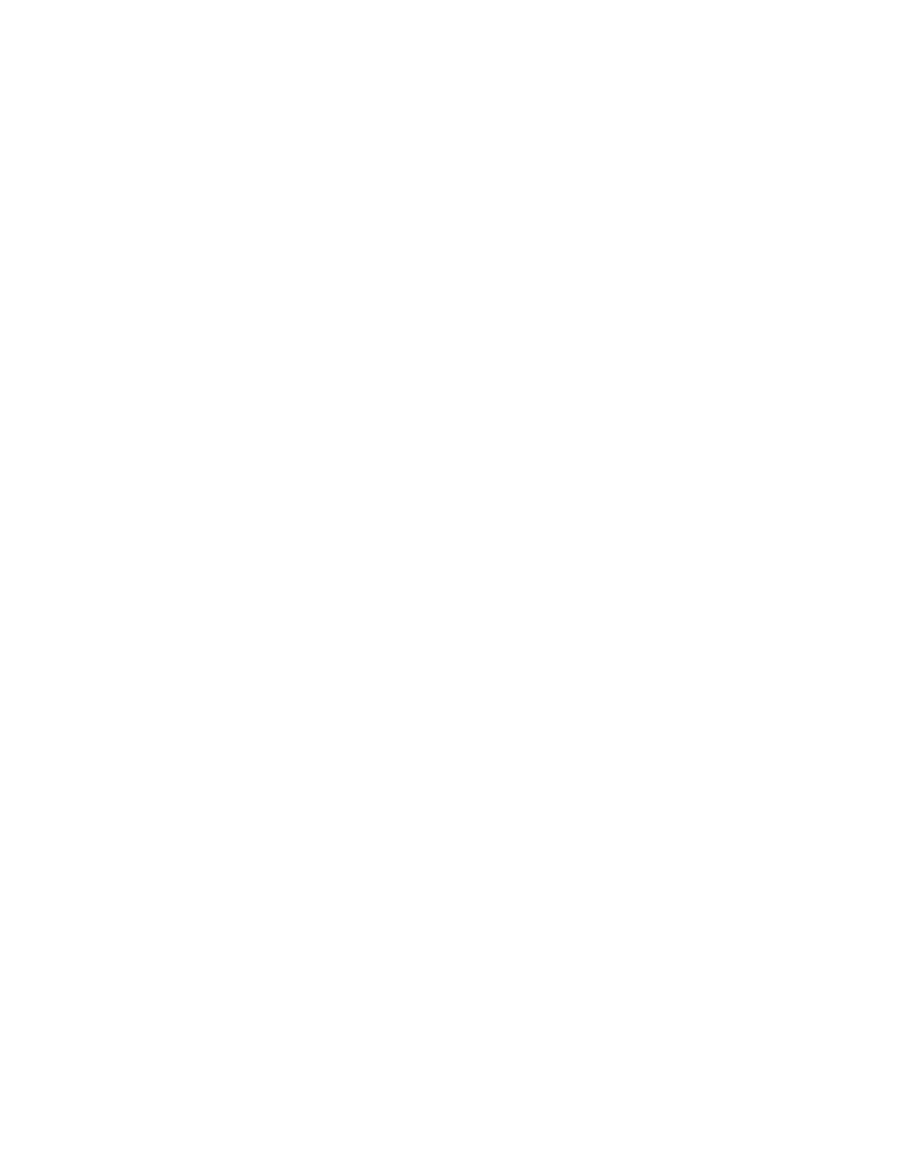# **Package Outline and Package Dimensions**

**Package Outline - K Suffix for 32-Lead VFQFN**







There are 2 methods of indicating pin 1 corner at the back of the VFQFN package are:

- 1. Type A: Chamfer on the paddle (near pin 1)
- 2. Type C: Mouse bite on the paddle (near pin 1)

### **Table 8A. Package Dimensions for 32-Lead VFQFN**

| <b>JEDEC Variation: VHHD-2/-4</b><br><b>All Dimensions in Millimeters</b> |                |                |  |  |  |  |
|---------------------------------------------------------------------------|----------------|----------------|--|--|--|--|
| Symbol                                                                    | <b>Minimum</b> | <b>Maximum</b> |  |  |  |  |
| N                                                                         |                | 32             |  |  |  |  |
| A                                                                         | 0.80           | 1.00           |  |  |  |  |
| А1                                                                        | n              | 0.05           |  |  |  |  |
| A <sub>3</sub>                                                            | 0.25 Ref.      |                |  |  |  |  |
| b                                                                         | 0.18           | 0.30           |  |  |  |  |
| $N_D$ & $N_E$                                                             |                | 8              |  |  |  |  |
| <b>D&amp;E</b>                                                            |                | 5.00 Basic     |  |  |  |  |
| D <sub>2</sub> & E <sub>2</sub>                                           | 3.0            | 3.3            |  |  |  |  |
| е                                                                         | 0.50 Basic     |                |  |  |  |  |
|                                                                           | 0.30           | 0.50           |  |  |  |  |

Reference Document: JEDEC Publication 95, MO-220

NOTE: The following package mechanical drawing is a generic drawing that applies to any pin count VFQFN package. This drawing is not intended to convey the actual pin count or pin layout of this device. The pin count and pinout are shown on the front page. The package dimensions are in Table 8A.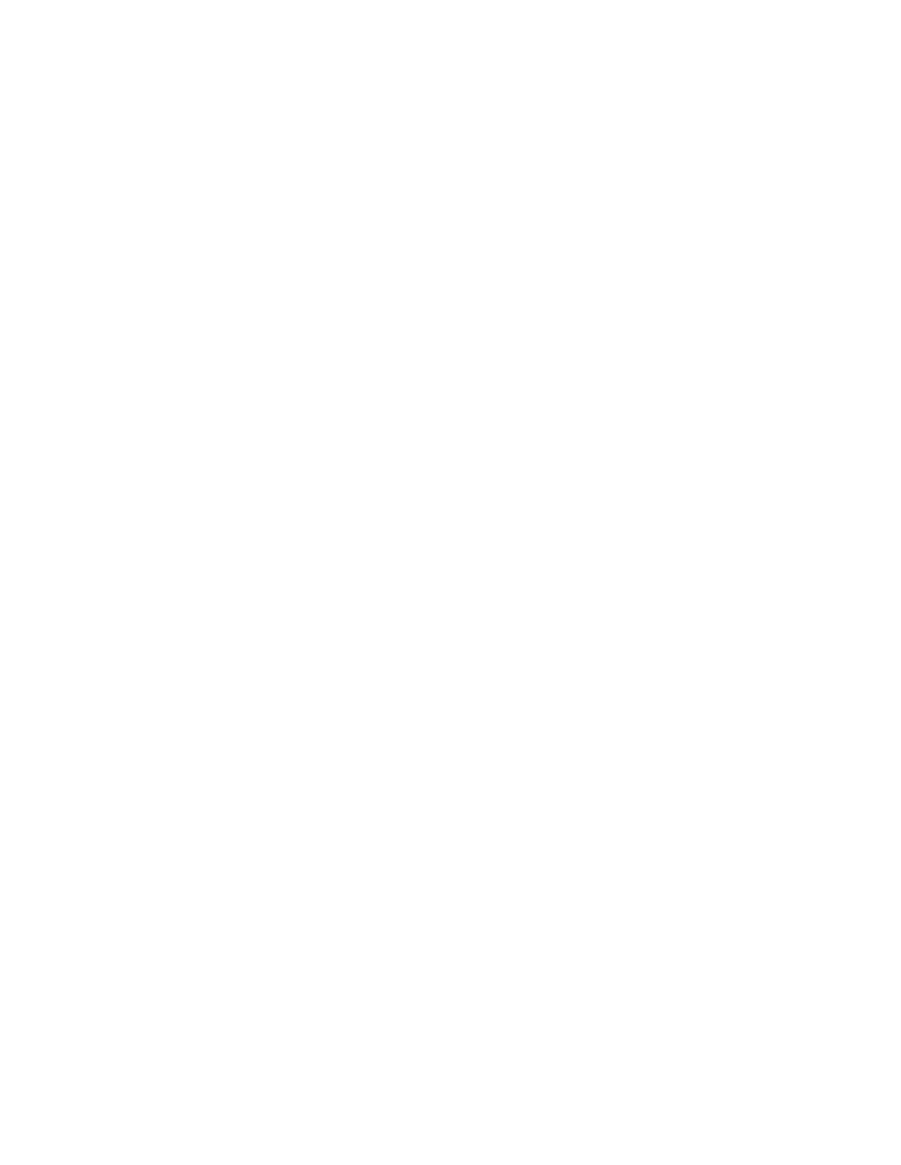# **Package Outline and Package Dimensions**

**Package Outline - Y Suffix for 32-Lead LQFP**



#### **Table 8B. Package Dimensions 32 Lead LQFP**

| <b>JEDEC Variation: BBA</b><br><b>All Dimensions in Millimeters</b> |                |                |                |  |  |
|---------------------------------------------------------------------|----------------|----------------|----------------|--|--|
| Symbol                                                              | <b>Minimum</b> | <b>Nominal</b> | <b>Maximum</b> |  |  |
| N                                                                   |                | 32             |                |  |  |
| A                                                                   |                |                | 1.60           |  |  |
| A <sub>1</sub>                                                      | 0.05           | 0.10           | 0.15           |  |  |
| A2                                                                  | 1.35           | 1.40           | 1.45           |  |  |
| b                                                                   | 0.30           |                | 0.45           |  |  |
| c                                                                   | 0.09           |                | 0.20           |  |  |
| <b>D&amp;E</b>                                                      | 9.00 Basic     |                |                |  |  |
| D1 & E1                                                             | 7.00 Basic     |                |                |  |  |
| е                                                                   | 0.80 Basic     |                |                |  |  |
|                                                                     | 0.45           | 0.60           | 0.75           |  |  |
| $\theta$                                                            | n۰             |                | $7^\circ$      |  |  |
| <b>CCC</b>                                                          |                |                | 0.10           |  |  |

Reference Document: JEDEC Publication 95, MS-026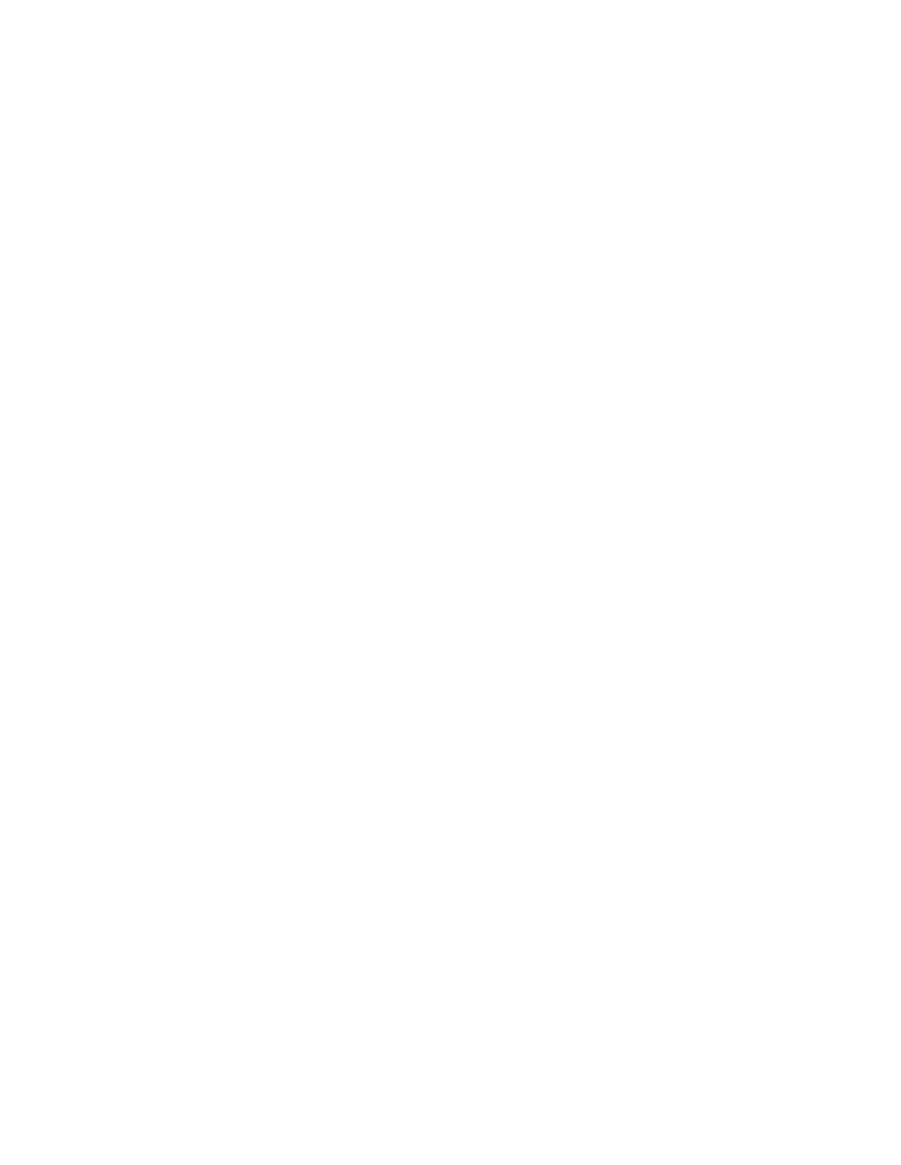

## **Ordering Information**

#### **Table 9. Ordering Information**

| <b>IPart/Order Number</b> | Marking            | Package                   | <b>Shipping Packaging</b> | Temperature    |
|---------------------------|--------------------|---------------------------|---------------------------|----------------|
| <b>854110AKILF</b>        | ICS54110AIL        | "Lead-Free" 32 Lead VFQFN | Trav                      | -40°C to 85°C. |
| <b>854110AKILFT</b>       | <b>ICS54110AIL</b> | "Lead-Free" 32 Lead VFQFN | 2500 Tape & Reel          | -40°C to 85°C. |
| <b>854110AYILF</b>        | ICS854110AIL       | "Lead-Free" 32 Lead LQFP  | Trav                      | -40°C to 85°C. |
| <b>854110AYILFT</b>       | ICS854110AIL       | "Lead-Free" 32 Lead LQFP  | 1000 Tape & Reel          | -40°C to 85°C. |

NOTE: Parts that are ordered with an "LF" suffix to the part number are the Pb-Free configuration and are RoHS compliant.

While the information presented herein has been checked for both accuracy and reliability, Integrated Device Technology (IDT) assumes no responsibility for either its use or for the infringement of any patents or other rights of third parties, which would result from its use. No other circuits, patents, or licenses are implied. This product is intended for use in normal commercial and industrial applications. Any other applications, such as those requiring high reliability or other extraordinary environmental requirements are not recommended without additional processing by IDT. IDT reserves the right to change any circuitry or specifications without notice. IDT does not authorize or warrant any IDT product for use in life support devices or critical medical instruments.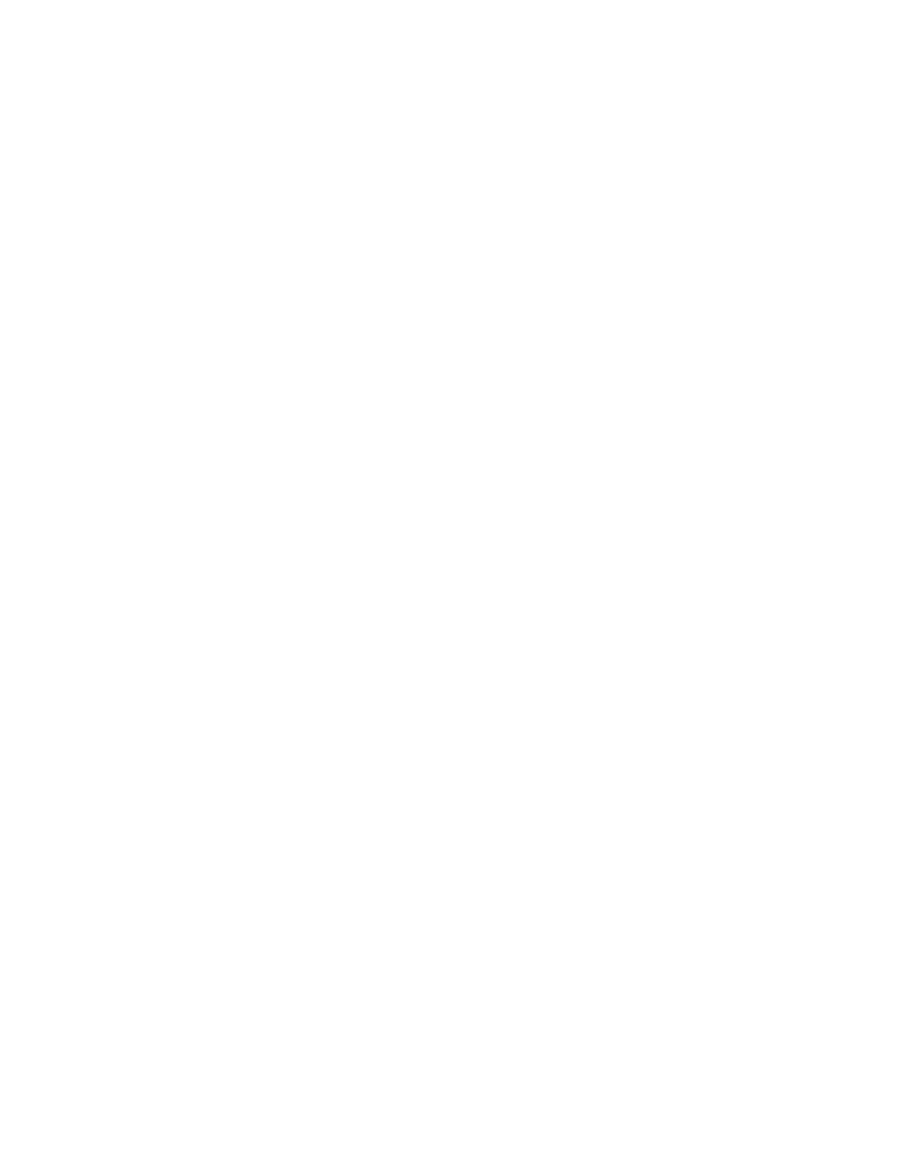

# **Revision History Sheet**

| Rev | <b>Table</b> | Page | <b>Description of Change</b>                                                    | Date |
|-----|--------------|------|---------------------------------------------------------------------------------|------|
| D   | T4A          |      | Power Supply DC Characteristics Table - added I <sub>DD</sub> spec of 30mA max. |      |